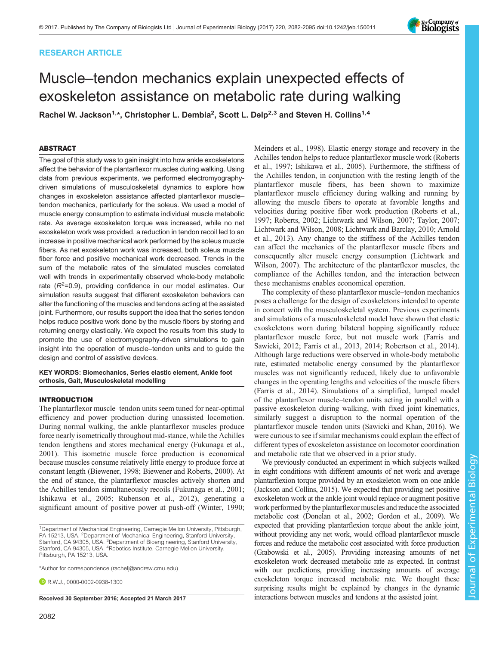## RESEARCH ARTICLE

# Muscle–tendon mechanics explain unexpected effects of exoskeleton assistance on metabolic rate during walking

Rachel W. Jackson<sup>1,</sup>\*, Christopher L. Dembia<sup>2</sup>, Scott L. Delp<sup>2,3</sup> and Steven H. Collins<sup>1,4</sup>

## ABSTRACT

The goal of this study was to gain insight into how ankle exoskeletons affect the behavior of the plantarflexor muscles during walking. Using data from previous experiments, we performed electromyographydriven simulations of musculoskeletal dynamics to explore how changes in exoskeleton assistance affected plantarflexor muscle– tendon mechanics, particularly for the soleus. We used a model of muscle energy consumption to estimate individual muscle metabolic rate. As average exoskeleton torque was increased, while no net exoskeleton work was provided, a reduction in tendon recoil led to an increase in positive mechanical work performed by the soleus muscle fibers. As net exoskeleton work was increased, both soleus muscle fiber force and positive mechanical work decreased. Trends in the sum of the metabolic rates of the simulated muscles correlated well with trends in experimentally observed whole-body metabolic rate  $(R^2=0.9)$ , providing confidence in our model estimates. Our simulation results suggest that different exoskeleton behaviors can alter the functioning of the muscles and tendons acting at the assisted joint. Furthermore, our results support the idea that the series tendon helps reduce positive work done by the muscle fibers by storing and returning energy elastically. We expect the results from this study to promote the use of electromyography-driven simulations to gain insight into the operation of muscle–tendon units and to guide the design and control of assistive devices.

### KEY WORDS: Biomechanics, Series elastic element, Ankle foot orthosis, Gait, Musculoskeletal modelling

#### INTRODUCTION

The plantarflexor muscle–tendon units seem tuned for near-optimal efficiency and power production during unassisted locomotion. During normal walking, the ankle plantarflexor muscles produce force nearly isometrically throughout mid-stance, while the Achilles tendon lengthens and stores mechanical energy ([Fukunaga et al.,](#page-13-0) [2001](#page-13-0)). This isometric muscle force production is economical because muscles consume relatively little energy to produce force at constant length ([Biewener, 1998](#page-13-0); [Biewener and Roberts, 2000\)](#page-13-0). At the end of stance, the plantarflexor muscles actively shorten and the Achilles tendon simultaneously recoils ([Fukunaga et al., 2001](#page-13-0); [Ishikawa et al., 2005; Rubenson et al., 2012\)](#page-13-0), generating a significant amount of positive power at push-off [\(Winter, 1990](#page-13-0);

\*Author for correspondence [\(rachelj@andrew.cmu.edu](mailto:rachelj@andrew.cmu.edu))

**D**R.W.J., [0000-0002-0938-1300](http://orcid.org/0000-0002-0938-1300)

[Meinders et al., 1998](#page-13-0)). Elastic energy storage and recovery in the Achilles tendon helps to reduce plantarflexor muscle work ([Roberts](#page-13-0) [et al., 1997; Ishikawa et al., 2005\)](#page-13-0). Furthermore, the stiffness of the Achilles tendon, in conjunction with the resting length of the plantarflexor muscle fibers, has been shown to maximize plantarflexor muscle efficiency during walking and running by allowing the muscle fibers to operate at favorable lengths and velocities during positive fiber work production [\(Roberts et al.,](#page-13-0) [1997; Roberts, 2002; Lichtwark and Wilson, 2007; Taylor, 2007;](#page-13-0) [Lichtwark and Wilson, 2008](#page-13-0); [Lichtwark and Barclay, 2010;](#page-13-0) [Arnold](#page-12-0) [et al., 2013\)](#page-12-0). Any change to the stiffness of the Achilles tendon can affect the mechanics of the plantarflexor muscle fibers and consequently alter muscle energy consumption ([Lichtwark and](#page-13-0) [Wilson, 2007\)](#page-13-0). The architecture of the plantarflexor muscles, the compliance of the Achilles tendon, and the interaction between these mechanisms enables economical operation.

The complexity of these plantarflexor muscle–tendon mechanics poses a challenge for the design of exoskeletons intended to operate in concert with the musculoskeletal system. Previous experiments and simulations of a musculoskeletal model have shown that elastic exoskeletons worn during bilateral hopping significantly reduce plantarflexor muscle force, but not muscle work ([Farris and](#page-13-0) [Sawicki, 2012; Farris et al., 2013, 2014; Robertson et al., 2014\)](#page-13-0). Although large reductions were observed in whole-body metabolic rate, estimated metabolic energy consumed by the plantarflexor muscles was not significantly reduced, likely due to unfavorable changes in the operating lengths and velocities of the muscle fibers [\(Farris et al., 2014\)](#page-13-0). Simulations of a simplified, lumped model of the plantarflexor muscle–tendon units acting in parallel with a passive exoskeleton during walking, with fixed joint kinematics, similarly suggest a disruption to the normal operation of the plantarflexor muscle–tendon units ([Sawicki and Khan, 2016\)](#page-13-0). We were curious to see if similar mechanisms could explain the effect of different types of exoskeleton assistance on locomotor coordination and metabolic rate that we observed in a prior study.

We previously conducted an experiment in which subjects walked in eight conditions with different amounts of net work and average plantarflexion torque provided by an exoskeleton worn on one ankle [\(Jackson and Collins, 2015](#page-13-0)). We expected that providing net positive exoskeleton work at the ankle joint would replace or augment positive work performed by the plantarflexor muscles and reduce the associated metabolic cost [\(Donelan et al., 2002](#page-13-0); [Gordon et al., 2009](#page-13-0)). We expected that providing plantarflexion torque about the ankle joint, without providing any net work, would offload plantarflexor muscle forces and reduce the metabolic cost associated with force production [\(Grabowski et al., 2005\)](#page-13-0). Providing increasing amounts of net exoskeleton work decreased metabolic rate as expected. In contrast with our predictions, providing increasing amounts of average exoskeleton torque increased metabolic rate. We thought these surprising results might be explained by changes in the dynamic Received 30 September 2016; Accepted 21 March 2017 interactions between muscles and tendons at the assisted joint.



<sup>&</sup>lt;sup>1</sup>Department of Mechanical Engineering, Carnegie Mellon University, Pittsburgh, PA 15213, USA. <sup>2</sup>Department of Mechanical Engineering, Stanford University, Stanford, CA 94305, USA. <sup>3</sup>Department of Bioengineering, Stanford University, Stanford, CA 94305, USA. <sup>4</sup>Robotics Institute, Carnegie Mellon University, Pittsburgh, PA 15213, USA.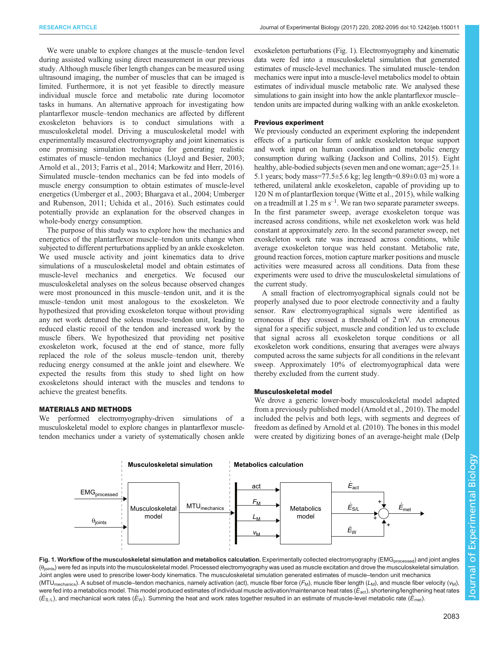We were unable to explore changes at the muscle–tendon level during assisted walking using direct measurement in our previous study. Although muscle fiber length changes can be measured using ultrasound imaging, the number of muscles that can be imaged is limited. Furthermore, it is not yet feasible to directly measure individual muscle force and metabolic rate during locomotor tasks in humans. An alternative approach for investigating how plantarflexor muscle–tendon mechanics are affected by different exoskeleton behaviors is to conduct simulations with a musculoskeletal model. Driving a musculoskeletal model with experimentally measured electromyography and joint kinematics is one promising simulation technique for generating realistic estimates of muscle–tendon mechanics ([Lloyd and Besier, 2003](#page-13-0); [Arnold et al., 2013;](#page-12-0) [Farris et al., 2014; Markowitz and Herr, 2016\)](#page-13-0). Simulated muscle–tendon mechanics can be fed into models of muscle energy consumption to obtain estimates of muscle-level energetics [\(Umberger et al., 2003; Bhargava et al., 2004](#page-13-0); [Umberger](#page-13-0) [and Rubenson, 2011](#page-13-0); [Uchida et al., 2016](#page-13-0)). Such estimates could potentially provide an explanation for the observed changes in whole-body energy consumption.

The purpose of this study was to explore how the mechanics and energetics of the plantarflexor muscle–tendon units change when subjected to different perturbations applied by an ankle exoskeleton. We used muscle activity and joint kinematics data to drive simulations of a musculoskeletal model and obtain estimates of muscle-level mechanics and energetics. We focused our musculoskeletal analyses on the soleus because observed changes were most pronounced in this muscle–tendon unit, and it is the muscle–tendon unit most analogous to the exoskeleton. We hypothesized that providing exoskeleton torque without providing any net work detuned the soleus muscle–tendon unit, leading to reduced elastic recoil of the tendon and increased work by the muscle fibers. We hypothesized that providing net positive exoskeleton work, focused at the end of stance, more fully replaced the role of the soleus muscle–tendon unit, thereby reducing energy consumed at the ankle joint and elsewhere. We expected the results from this study to shed light on how exoskeletons should interact with the muscles and tendons to achieve the greatest benefits.

## MATERIALS AND METHODS

We performed electromyography-driven simulations of a musculoskeletal model to explore changes in plantarflexor muscletendon mechanics under a variety of systematically chosen ankle exoskeleton perturbations (Fig. 1). Electromyography and kinematic data were fed into a musculoskeletal simulation that generated estimates of muscle-level mechanics. The simulated muscle–tendon mechanics were input into a muscle-level metabolics model to obtain estimates of individual muscle metabolic rate. We analysed these simulations to gain insight into how the ankle plantarflexor muscle– tendon units are impacted during walking with an ankle exoskeleton.

## Previous experiment

We previously conducted an experiment exploring the independent effects of a particular form of ankle exoskeleton torque support and work input on human coordination and metabolic energy consumption during walking [\(Jackson and Collins, 2015](#page-13-0)). Eight healthy, able-bodied subjects (seven men and one woman; age=25.1 $\pm$ 5.1 years; body mass=77.5±5.6 kg; leg length=0.89±0.03 m) wore a tethered, unilateral ankle exoskeleton, capable of providing up to 120 N m of plantarflexion torque [\(Witte et al., 2015\)](#page-13-0), while walking on a treadmill at  $1.25 \text{ m s}^{-1}$ . We ran two separate parameter sweeps. In the first parameter sweep, average exoskeleton torque was increased across conditions, while net exoskeleton work was held constant at approximately zero. In the second parameter sweep, net exoskeleton work rate was increased across conditions, while average exoskeleton torque was held constant. Metabolic rate, ground reaction forces, motion capture marker positions and muscle activities were measured across all conditions. Data from these experiments were used to drive the musculoskeletal simulations of the current study.

A small fraction of electromyographical signals could not be properly analysed due to poor electrode connectivity and a faulty sensor. Raw electromyographical signals were identified as erroneous if they crossed a threshold of 2 mV. An erroneous signal for a specific subject, muscle and condition led us to exclude that signal across all exoskeleton torque conditions or all exoskeleton work conditions, ensuring that averages were always computed across the same subjects for all conditions in the relevant sweep. Approximately 10% of electromyographical data were thereby excluded from the current study.

## Musculoskeletal model

We drove a generic lower-body musculoskeletal model adapted from a previously published model ([Arnold et al., 2010](#page-12-0)). The model included the pelvis and both legs, with segments and degrees of freedom as defined by [Arnold et al. \(2010\)](#page-12-0). The bones in this model were created by digitizing bones of an average-height male ([Delp](#page-13-0)



Fig. 1. Workflow of the musculoskeletal simulation and metabolics calculation. Experimentally collected electromyography (EMG<sub>processed</sub>) and joint angles  $(\theta_{\text{points}})$  were fed as inputs into the musculoskeletal model. Processed electromyography was used as muscle excitation and drove the musculoskeletal simulation. Joint angles were used to prescribe lower-body kinematics. The musculoskeletal simulation generated estimates of muscle–tendon unit mechanics  $(MTU_{\text{mechanics}})$ . A subset of muscle–tendon mechanics, namely activation (act), muscle fiber force  $(F_M)$ , muscle fiber length ( $L_M$ ), and muscle fiber velocity ( $v_M$ ), were fed into a metabolics model. This model produced estimates of individual muscle activation/maintenance heat rates ( $E_{\text{act}}$ ), shortening/lengthening heat rates  $(\dot{E}_{S/L})$ , and mechanical work rates ( $\dot{E}_{W}$ ). Summing the heat and work rates together resulted in an estimate of muscle-level metabolic rate ( $\dot{E}_{\text{met}}$ ).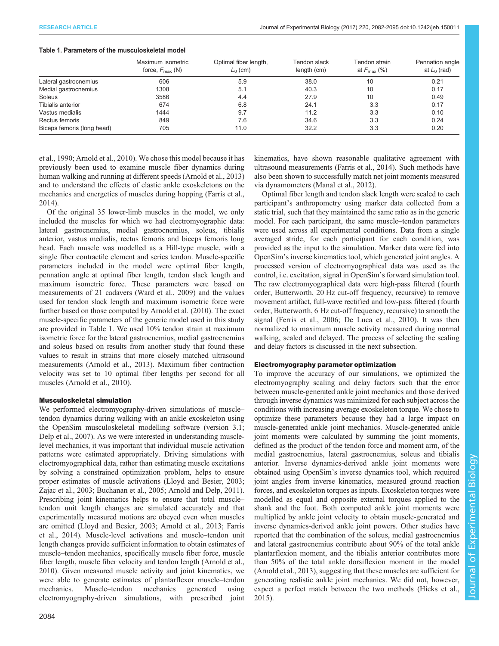#### Table 1. Parameters of the musculoskeletal model

|                            | Maximum isometric           | Optimal fiber length, | Tendon slack | Tendon strain           | Pennation angle |
|----------------------------|-----------------------------|-----------------------|--------------|-------------------------|-----------------|
|                            | force, $F_{\text{max}}$ (N) | $L_0$ (cm)            | length (cm)  | at $F_{\text{max}}$ (%) | at $L_0$ (rad)  |
| Lateral gastrocnemius      | 606                         | 5.9                   | 38.0         | 10                      | 0.21            |
| Medial gastrocnemius       | 1308                        | 5.1                   | 40.3         | 10                      | 0.17            |
| Soleus                     | 3586                        | 4.4                   | 27.9         | 10                      | 0.49            |
| Tibialis anterior          | 674                         | 6.8                   | 24.1         | 3.3                     | 0.17            |
| Vastus medialis            | 1444                        | 9.7                   | 11.2         | 3.3                     | 0.10            |
| Rectus femoris             | 849                         | 7.6                   | 34.6         | 3.3                     | 0.24            |
| Biceps femoris (long head) | 705                         | 11.0                  | 32.2         | 3.3                     | 0.20            |

[et al., 1990;](#page-13-0) [Arnold et al., 2010\)](#page-12-0). We chose this model because it has previously been used to examine muscle fiber dynamics during human walking and running at different speeds [\(Arnold et al., 2013\)](#page-12-0) and to understand the effects of elastic ankle exoskeletons on the mechanics and energetics of muscles during hopping ([Farris et al.,](#page-13-0) [2014](#page-13-0)).

Of the original 35 lower-limb muscles in the model, we only included the muscles for which we had electromyographic data: lateral gastrocnemius, medial gastrocnemius, soleus, tibialis anterior, vastus medialis, rectus femoris and biceps femoris long head. Each muscle was modelled as a Hill-type muscle, with a single fiber contractile element and series tendon. Muscle-specific parameters included in the model were optimal fiber length, pennation angle at optimal fiber length, tendon slack length and maximum isometric force. These parameters were based on measurements of 21 cadavers ([Ward et al., 2009](#page-13-0)) and the values used for tendon slack length and maximum isometric force were further based on those computed by [Arnold et al. \(2010\)](#page-12-0). The exact muscle-specific parameters of the generic model used in this study are provided in Table 1. We used 10% tendon strain at maximum isometric force for the lateral gastrocnemius, medial gastrocnemius and soleus based on results from another study that found these values to result in strains that more closely matched ultrasound measurements ([Arnold et al., 2013](#page-12-0)). Maximum fiber contraction velocity was set to 10 optimal fiber lengths per second for all muscles [\(Arnold et al., 2010](#page-12-0)).

#### Musculoskeletal simulation

We performed electromyography-driven simulations of muscle– tendon dynamics during walking with an ankle exoskeleton using the OpenSim musculoskeletal modelling software (version 3.1; [Delp et al., 2007](#page-13-0)). As we were interested in understanding musclelevel mechanics, it was important that individual muscle activation patterns were estimated appropriately. Driving simulations with electromyographical data, rather than estimating muscle excitations by solving a constrained optimization problem, helps to ensure proper estimates of muscle activations [\(Lloyd and Besier, 2003](#page-13-0); [Zajac et al., 2003; Buchanan et al., 2005;](#page-13-0) [Arnold and Delp, 2011\)](#page-12-0). Prescribing joint kinematics helps to ensure that total muscle– tendon unit length changes are simulated accurately and that experimentally measured motions are obeyed even when muscles are omitted [\(Lloyd and Besier, 2003;](#page-13-0) [Arnold et al., 2013](#page-12-0); [Farris](#page-13-0) [et al., 2014](#page-13-0)). Muscle-level activations and muscle–tendon unit length changes provide sufficient information to obtain estimates of muscle–tendon mechanics, specifically muscle fiber force, muscle fiber length, muscle fiber velocity and tendon length [\(Arnold et al.,](#page-12-0) [2010](#page-12-0)). Given measured muscle activity and joint kinematics, we were able to generate estimates of plantarflexor muscle–tendon mechanics. Muscle–tendon mechanics generated using electromyography-driven simulations, with prescribed joint

kinematics, have shown reasonable qualitative agreement with ultrasound measurements [\(Farris et al., 2014\)](#page-13-0). Such methods have also been shown to successfully match net joint moments measured via dynamometers [\(Manal et al., 2012\)](#page-13-0).

Optimal fiber length and tendon slack length were scaled to each participant's anthropometry using marker data collected from a static trial, such that they maintained the same ratio as in the generic model. For each participant, the same muscle–tendon parameters were used across all experimental conditions. Data from a single averaged stride, for each participant for each condition, was provided as the input to the simulation. Marker data were fed into OpenSim's inverse kinematics tool, which generated joint angles. A processed version of electromyographical data was used as the control, i.e. excitation, signal in OpenSim's forward simulation tool. The raw electromyographical data were high-pass filtered (fourth order, Butterworth, 20 Hz cut-off frequency, recursive) to remove movement artifact, full-wave rectified and low-pass filtered (fourth order, Butterworth, 6 Hz cut-off frequency, recursive) to smooth the signal [\(Ferris et al., 2006](#page-13-0); [De Luca et al., 2010](#page-13-0)). It was then normalized to maximum muscle activity measured during normal walking, scaled and delayed. The process of selecting the scaling and delay factors is discussed in the next subsection.

## Electromyography parameter optimization

To improve the accuracy of our simulations, we optimized the electromyography scaling and delay factors such that the error between muscle-generated ankle joint mechanics and those derived through inverse dynamics was minimized for each subject across the conditions with increasing average exoskeleton torque. We chose to optimize these parameters because they had a large impact on muscle-generated ankle joint mechanics. Muscle-generated ankle joint moments were calculated by summing the joint moments, defined as the product of the tendon force and moment arm, of the medial gastrocnemius, lateral gastrocnemius, soleus and tibialis anterior. Inverse dynamics-derived ankle joint moments were obtained using OpenSim's inverse dynamics tool, which required joint angles from inverse kinematics, measured ground reaction forces, and exoskeleton torques as inputs. Exoskeleton torques were modelled as equal and opposite external torques applied to the shank and the foot. Both computed ankle joint moments were multiplied by ankle joint velocity to obtain muscle-generated and inverse dynamics-derived ankle joint powers. Other studies have reported that the combination of the soleus, medial gastrocnemius and lateral gastrocnemius contribute about 90% of the total ankle plantarflexion moment, and the tibialis anterior contributes more than 50% of the total ankle dorsiflexion moment in the model [\(Arnold et al., 2013\)](#page-12-0), suggesting that these muscles are sufficient for generating realistic ankle joint mechanics. We did not, however, expect a perfect match between the two methods [\(Hicks et al.,](#page-13-0) [2015\)](#page-13-0).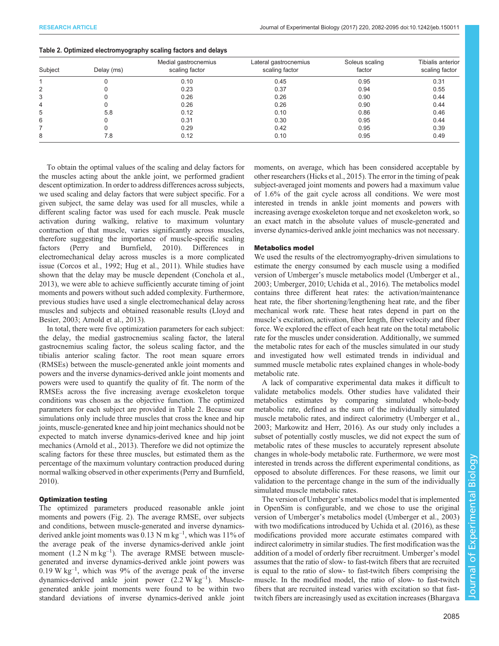|  | Table 2. Optimized electromyography scaling factors and delays |  |  |
|--|----------------------------------------------------------------|--|--|
|  |                                                                |  |  |

| Subject | Delay (ms) | Medial gastrocnemius<br>scaling factor | Lateral gastrocnemius<br>scaling factor | Soleus scaling<br>factor | Tibialis anterior<br>scaling factor |
|---------|------------|----------------------------------------|-----------------------------------------|--------------------------|-------------------------------------|
|         |            | 0.10                                   | 0.45                                    | 0.95                     | 0.31                                |
| 2       |            | 0.23                                   | 0.37                                    | 0.94                     | 0.55                                |
| 3       |            | 0.26                                   | 0.26                                    | 0.90                     | 0.44                                |
| 4       |            | 0.26                                   | 0.26                                    | 0.90                     | 0.44                                |
| 5       | 5.8        | 0.12                                   | 0.10                                    | 0.86                     | 0.46                                |
| 6       |            | 0.31                                   | 0.30                                    | 0.95                     | 0.44                                |
|         |            | 0.29                                   | 0.42                                    | 0.95                     | 0.39                                |
| 8       | 7.8        | 0.12                                   | 0.10                                    | 0.95                     | 0.49                                |

To obtain the optimal values of the scaling and delay factors for the muscles acting about the ankle joint, we performed gradient descent optimization. In order to address differences across subjects, we used scaling and delay factors that were subject specific. For a given subject, the same delay was used for all muscles, while a different scaling factor was used for each muscle. Peak muscle activation during walking, relative to maximum voluntary contraction of that muscle, varies significantly across muscles, therefore suggesting the importance of muscle-specific scaling factors [\(Perry and Burnfield, 2010](#page-13-0)). Differences in electromechanical delay across muscles is a more complicated issue [\(Corcos et al., 1992; Hug et al., 2011\)](#page-13-0). While studies have shown that the delay may be muscle dependent ([Conchola et al.,](#page-13-0) [2013](#page-13-0)), we were able to achieve sufficiently accurate timing of joint moments and powers without such added complexity. Furthermore, previous studies have used a single electromechanical delay across muscles and subjects and obtained reasonable results [\(Lloyd and](#page-13-0) [Besier, 2003](#page-13-0); [Arnold et al., 2013](#page-12-0)).

In total, there were five optimization parameters for each subject: the delay, the medial gastrocnemius scaling factor, the lateral gastrocnemius scaling factor, the soleus scaling factor, and the tibialis anterior scaling factor. The root mean square errors (RMSEs) between the muscle-generated ankle joint moments and powers and the inverse dynamics-derived ankle joint moments and powers were used to quantify the quality of fit. The norm of the RMSEs across the five increasing average exoskeleton torque conditions was chosen as the objective function. The optimized parameters for each subject are provided in Table 2. Because our simulations only include three muscles that cross the knee and hip joints, muscle-generated knee and hip joint mechanics should not be expected to match inverse dynamics-derived knee and hip joint mechanics [\(Arnold et al., 2013](#page-12-0)). Therefore we did not optimize the scaling factors for these three muscles, but estimated them as the percentage of the maximum voluntary contraction produced during normal walking observed in other experiments ([Perry and Burnfield,](#page-13-0) [2010](#page-13-0)).

## Optimization testing

The optimized parameters produced reasonable ankle joint moments and powers [\(Fig. 2](#page-4-0)). The average RMSE, over subjects and conditions, between muscle-generated and inverse dynamicsderived ankle joint moments was  $0.13 \text{ N m kg}^{-1}$ , which was 11% of the average peak of the inverse dynamics-derived ankle joint moment  $(1.2 \text{ N m kg}^{-1})$ . The average RMSE between musclegenerated and inverse dynamics-derived ankle joint powers was  $0.19$  W kg<sup>-1</sup>, which was 9% of the average peak of the inverse dynamics-derived ankle joint power (2.2 W kg<sup>-1</sup>). Musclegenerated ankle joint moments were found to be within two standard deviations of inverse dynamics-derived ankle joint

moments, on average, which has been considered acceptable by other researchers ([Hicks et al., 2015](#page-13-0)). The error in the timing of peak subject-averaged joint moments and powers had a maximum value of 1.6% of the gait cycle across all conditions. We were most interested in trends in ankle joint moments and powers with increasing average exoskeleton torque and net exoskeleton work, so an exact match in the absolute values of muscle-generated and inverse dynamics-derived ankle joint mechanics was not necessary.

## Metabolics model

We used the results of the electromyography-driven simulations to estimate the energy consumed by each muscle using a modified version of Umberger's muscle metabolics model [\(Umberger et al.,](#page-13-0) [2003; Umberger, 2010](#page-13-0); [Uchida et al., 2016](#page-13-0)). The metabolics model contains three different heat rates: the activation/maintenance heat rate, the fiber shortening/lengthening heat rate, and the fiber mechanical work rate. These heat rates depend in part on the muscle's excitation, activation, fiber length, fiber velocity and fiber force. We explored the effect of each heat rate on the total metabolic rate for the muscles under consideration. Additionally, we summed the metabolic rates for each of the muscles simulated in our study and investigated how well estimated trends in individual and summed muscle metabolic rates explained changes in whole-body metabolic rate.

A lack of comparative experimental data makes it difficult to validate metabolics models. Other studies have validated their metabolics estimates by comparing simulated whole-body metabolic rate, defined as the sum of the individually simulated muscle metabolic rates, and indirect calorimetry ([Umberger et al.,](#page-13-0) [2003; Markowitz and Herr, 2016](#page-13-0)). As our study only includes a subset of potentially costly muscles, we did not expect the sum of metabolic rates of these muscles to accurately represent absolute changes in whole-body metabolic rate. Furthermore, we were most interested in trends across the different experimental conditions, as opposed to absolute differences. For these reasons, we limit our validation to the percentage change in the sum of the individually simulated muscle metabolic rates.

The version of Umberger's metabolics model that is implemented in OpenSim is configurable, and we chose to use the original version of Umberger's metabolics model ([Umberger et al., 2003\)](#page-13-0) with two modifications introduced by [Uchida et al. \(2016\)](#page-13-0), as these modifications provided more accurate estimates compared with indirect calorimetry in similar studies. The first modification was the addition of a model of orderly fiber recruitment. Umberger's model assumes that the ratio of slow- to fast-twitch fibers that are recruited is equal to the ratio of slow- to fast-twitch fibers comprising the muscle. In the modified model, the ratio of slow- to fast-twitch fibers that are recruited instead varies with excitation so that fasttwitch fibers are increasingly used as excitation increases [\(Bhargava](#page-13-0)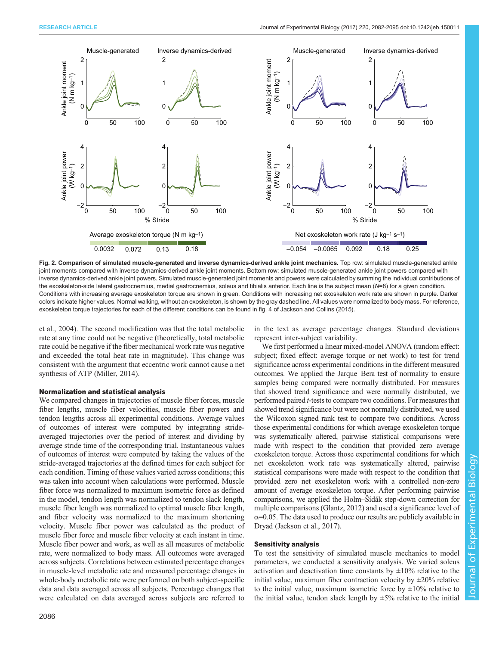<span id="page-4-0"></span>

Fig. 2. Comparison of simulated muscle-generated and inverse dynamics-derived ankle joint mechanics. Top row: simulated muscle-generated ankle joint moments compared with inverse dynamics-derived ankle joint moments. Bottom row: simulated muscle-generated ankle joint powers compared with inverse dynamics-derived ankle joint powers. Simulated muscle-generated joint moments and powers were calculated by summing the individual contributions of the exoskeleton-side lateral gastrocnemius, medial gastrocnemius, soleus and tibialis anterior. Each line is the subject mean (N=8) for a given condition. Conditions with increasing average exoskeleton torque are shown in green. Conditions with increasing net exoskeleton work rate are shown in purple. Darker colors indicate higher values. Normal walking, without an exoskeleton, is shown by the gray dashed line. All values were normalized to body mass. For reference, exoskeleton torque trajectories for each of the different conditions can be found in fig. 4 of [Jackson and Collins \(2015\).](#page-13-0)

[et al., 2004\)](#page-13-0). The second modification was that the total metabolic rate at any time could not be negative (theoretically, total metabolic rate could be negative if the fiber mechanical work rate was negative and exceeded the total heat rate in magnitude). This change was consistent with the argument that eccentric work cannot cause a net synthesis of ATP ([Miller, 2014](#page-13-0)).

#### Normalization and statistical analysis

We compared changes in trajectories of muscle fiber forces, muscle fiber lengths, muscle fiber velocities, muscle fiber powers and tendon lengths across all experimental conditions. Average values of outcomes of interest were computed by integrating strideaveraged trajectories over the period of interest and dividing by average stride time of the corresponding trial. Instantaneous values of outcomes of interest were computed by taking the values of the stride-averaged trajectories at the defined times for each subject for each condition. Timing of these values varied across conditions; this was taken into account when calculations were performed. Muscle fiber force was normalized to maximum isometric force as defined in the model, tendon length was normalized to tendon slack length, muscle fiber length was normalized to optimal muscle fiber length, and fiber velocity was normalized to the maximum shortening velocity. Muscle fiber power was calculated as the product of muscle fiber force and muscle fiber velocity at each instant in time. Muscle fiber power and work, as well as all measures of metabolic rate, were normalized to body mass. All outcomes were averaged across subjects. Correlations between estimated percentage changes in muscle-level metabolic rate and measured percentage changes in whole-body metabolic rate were performed on both subject-specific data and data averaged across all subjects. Percentage changes that were calculated on data averaged across subjects are referred to

in the text as average percentage changes. Standard deviations represent inter-subject variability.

We first performed a linear mixed-model ANOVA (random effect: subject; fixed effect: average torque or net work) to test for trend significance across experimental conditions in the different measured outcomes. We applied the Jarque–Bera test of normality to ensure samples being compared were normally distributed. For measures that showed trend significance and were normally distributed, we performed paired *t*-tests to compare two conditions. For measures that showed trend significance but were not normally distributed, we used the Wilcoxon signed rank test to compare two conditions. Across those experimental conditions for which average exoskeleton torque was systematically altered, pairwise statistical comparisons were made with respect to the condition that provided zero average exoskeleton torque. Across those experimental conditions for which net exoskeleton work rate was systematically altered, pairwise statistical comparisons were made with respect to the condition that provided zero net exoskeleton work with a controlled non-zero amount of average exoskeleton torque. After performing pairwise comparisons, we applied the Holm–Šídák step-down correction for multiple comparisons ([Glantz, 2012](#page-13-0)) and used a significance level of  $\alpha$ =0.05. The data used to produce our results are publicly available in Dryad (Jackson et al., 2017).

### Sensitivity analysis

To test the sensitivity of simulated muscle mechanics to model parameters, we conducted a sensitivity analysis. We varied soleus activation and deactivation time constants by  $\pm 10\%$  relative to the initial value, maximum fiber contraction velocity by  $\pm 20\%$  relative to the initial value, maximum isometric force by  $\pm 10\%$  relative to the initial value, tendon slack length by  $\pm 5\%$  relative to the initial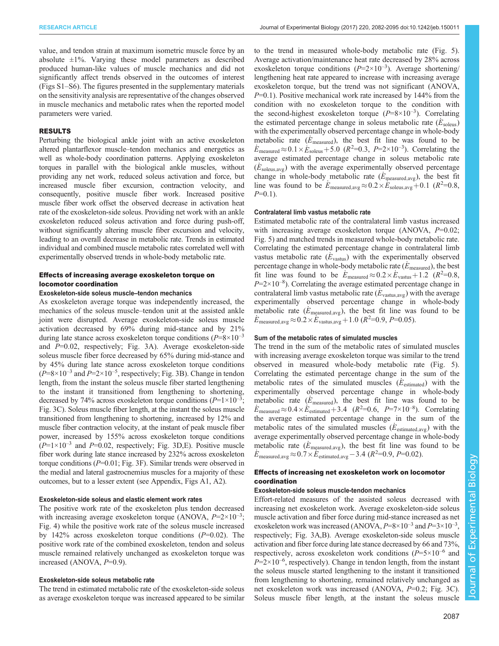value, and tendon strain at maximum isometric muscle force by an absolute  $\pm 1\%$ . Varying these model parameters as described produced human-like values of muscle mechanics and did not significantly affect trends observed in the outcomes of interest [\(Figs S1](http://jeb.biologists.org/lookup/doi/10.1242/jeb.150011.supplemental)–S6). The figures presented in the [supplementary materials](http://jeb.biologists.org/lookup/doi/10.1242/jeb.150011.supplemental) on the sensitivity analysis are representative of the changes observed in muscle mechanics and metabolic rates when the reported model parameters were varied.

## RESULTS

Perturbing the biological ankle joint with an active exoskeleton altered plantarflexor muscle–tendon mechanics and energetics as well as whole-body coordination patterns. Applying exoskeleton torques in parallel with the biological ankle muscles, without providing any net work, reduced soleus activation and force, but increased muscle fiber excursion, contraction velocity, and consequently, positive muscle fiber work. Increased positive muscle fiber work offset the observed decrease in activation heat rate of the exoskeleton-side soleus. Providing net work with an ankle exoskeleton reduced soleus activation and force during push-off, without significantly altering muscle fiber excursion and velocity, leading to an overall decrease in metabolic rate. Trends in estimated individual and combined muscle metabolic rates correlated well with experimentally observed trends in whole-body metabolic rate.

## Effects of increasing average exoskeleton torque on locomotor coordination

#### Exoskeleton-side soleus muscle–tendon mechanics

As exoskeleton average torque was independently increased, the mechanics of the soleus muscle–tendon unit at the assisted ankle joint were disrupted. Average exoskeleton-side soleus muscle activation decreased by 69% during mid-stance and by 21% during late stance across exoskeleton torque conditions  $(P=8\times10^{-3}$ and P=0.02, respectively; [Fig. 3](#page-6-0)A). Average exoskeleton-side soleus muscle fiber force decreased by 65% during mid-stance and by 45% during late stance across exoskeleton torque conditions  $(P=8\times10^{-3}$  and  $P=2\times10^{-5}$ , respectively; [Fig. 3](#page-6-0)B). Change in tendon length, from the instant the soleus muscle fiber started lengthening to the instant it transitioned from lengthening to shortening, decreased by 74% across exoskeleton torque conditions  $(P=1\times10^{-3})$ ; [Fig. 3C](#page-6-0)). Soleus muscle fiber length, at the instant the soleus muscle transitioned from lengthening to shortening, increased by 12% and muscle fiber contraction velocity, at the instant of peak muscle fiber power, increased by 155% across exoskeleton torque conditions  $(P=1\times10^{-3}$  and P=0.02, respectively; [Fig. 3D](#page-6-0), E). Positive muscle fiber work during late stance increased by 232% across exoskeleton torque conditions  $(P=0.01; Fig. 3F)$  $(P=0.01; Fig. 3F)$  $(P=0.01; Fig. 3F)$ . Similar trends were observed in the medial and lateral gastrocnemius muscles for a majority of these outcomes, but to a lesser extent (see Appendix, [Figs A1,](#page-10-0) [A2](#page-11-0)).

## Exoskeleton-side soleus and elastic element work rates

The positive work rate of the exoskeleton plus tendon decreased with increasing average exoskeleton torque (ANOVA,  $P=2\times10^{-3}$ ; [Fig. 4](#page-7-0)) while the positive work rate of the soleus muscle increased by 142% across exoskeleton torque conditions  $(P=0.02)$ . The positive work rate of the combined exoskeleton, tendon and soleus muscle remained relatively unchanged as exoskeleton torque was increased (ANOVA,  $P=0.9$ ).

#### Exoskeleton-side soleus metabolic rate

The trend in estimated metabolic rate of the exoskeleton-side soleus as average exoskeleton torque was increased appeared to be similar to the trend in measured whole-body metabolic rate ([Fig. 5\)](#page-8-0). Average activation/maintenance heat rate decreased by 28% across exoskeleton torque conditions  $(P=2\times10^{-3})$ . Average shortening/ lengthening heat rate appeared to increase with increasing average exoskeleton torque, but the trend was not significant (ANOVA,  $P=0.1$ ). Positive mechanical work rate increased by 144% from the condition with no exoskeleton torque to the condition with the second-highest exoskeleton torque  $(P=8\times10^{-3})$ . Correlating the estimated percentage change in soleus metabolic rate  $(E_{\text{soleus}})$ with the experimentally observed percentage change in whole-body metabolic rate ( $\dot{E}_{\text{measured}}$ ), the best fit line was found to be  $\dot{E}_{\text{measured}} \approx 0.1 \times \dot{E}_{\text{soleus}} + 5.0 \text{ (}R^2 = 0.3, P = 2 \times 10^{-3}\text{).}$  Correlating the average estimated percentage change in soleus metabolic rate  $(E_{\text{soleus,avg}})$  with the average experimentally observed percentage change in whole-body metabolic rate ( $\dot{E}_{\text{measured,avg}}$ ), the best fit line was found to be  $E_{\text{measured,avg}} \approx 0.2 \times E_{\text{soleus,avg}} + 0.1$  ( $R^2 = 0.8$ ,  $P=0.1$ ).

#### Contralateral limb vastus metabolic rate

Estimated metabolic rate of the contralateral limb vastus increased with increasing average exoskeleton torque  $(ANOVA, P=0.02;$ [Fig. 5\)](#page-8-0) and matched trends in measured whole-body metabolic rate. Correlating the estimated percentage change in contralateral limb vastus metabolic rate ( $\dot{E}_{\text{vastus}}$ ) with the experimentally observed percentage change in whole-body metabolic rate  $(E_{\text{measured}})$ , the best fit line was found to be  $E_{\text{measured}} \approx 0.2 \times E_{\text{vastus}} + 1.2$  ( $R^2 = 0.8$ ,  $P=2\times10^{-8}$ ). Correlating the average estimated percentage change in contralateral limb vastus metabolic rate ( $E_{\text{vastus,avg}}$ ) with the average experimentally observed percentage change in whole-body metabolic rate ( $\dot{E}_{\text{measured,avg}}$ ), the best fit line was found to be  $\dot{E}_{\text{measured,avg}} \approx 0.2 \times \dot{E}_{\text{vastus,avg}} + 1.0 \ (R^2=0.9, P=0.05).$ 

## Sum of the metabolic rates of simulated muscles

The trend in the sum of the metabolic rates of simulated muscles with increasing average exoskeleton torque was similar to the trend observed in measured whole-body metabolic rate ([Fig. 5\)](#page-8-0). Correlating the estimated percentage change in the sum of the metabolic rates of the simulated muscles  $(E_{\text{estimated}})$  with the experimentally observed percentage change in whole-body metabolic rate  $(E_{\text{measured}})$ , the best fit line was found to be  $E_{\text{measured}} \approx 0.4 \times E_{\text{estimated}} + 3.4 \quad (R^2=0.6, \quad P=7\times10^{-8})$ . Correlating the average estimated percentage change in the sum of the metabolic rates of the simulated muscles ( $E_{\text{estimated,avg}}$ ) with the average experimentally observed percentage change in whole-body metabolic rate ( $\dot{E}_{\text{measured,avg}}$ ), the best fit line was found to be  $\dot{E}_{\text{measured,avg}} \approx 0.7 \times \dot{E}_{\text{estimated,avg}} - 3.4 \ (R^2=0.9, P=0.02).$ 

## Effects of increasing net exoskeleton work on locomotor coordination

#### Exoskeleton-side soleus muscle-tendon mechanics

Effort-related measures of the assisted soleus decreased with increasing net exoskeleton work. Average exoskeleton-side soleus muscle activation and fiber force during mid-stance increased as net exoskeleton work was increased (ANOVA,  $P=8\times10^{-3}$  and  $P=3\times10^{-3}$ , respectively; [Fig. 3](#page-6-0)A,B). Average exoskeleton-side soleus muscle activation and fiber force during late stance decreased by 66 and 73%, respectively, across exoskeleton work conditions  $(P=5\times10^{-6}$  and  $P=2\times10^{-6}$ , respectively). Change in tendon length, from the instant the soleus muscle started lengthening to the instant it transitioned from lengthening to shortening, remained relatively unchanged as net exoskeleton work was increased (ANOVA, P=0.2; [Fig. 3](#page-6-0)C). Soleus muscle fiber length, at the instant the soleus muscle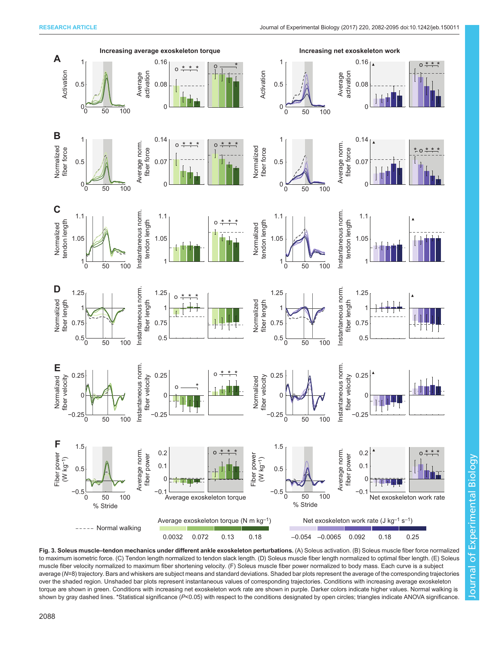<span id="page-6-0"></span>

Fig. 3. Soleus muscle-tendon mechanics under different ankle exoskeleton perturbations. (A) Soleus activation. (B) Soleus muscle fiber force normalized to maximum isometric force. (C) Tendon length normalized to tendon slack length. (D) Soleus muscle fiber length normalized to optimal fiber length. (E) Soleus muscle fiber velocity normalized to maximum fiber shortening velocity. (F) Soleus muscle fiber power normalized to body mass. Each curve is a subject average (N=8) trajectory. Bars and whiskers are subject means and standard deviations. Shaded bar plots represent the average of the corresponding trajectories over the shaded region. Unshaded bar plots represent instantaneous values of corresponding trajectories. Conditions with increasing average exoskeleton torque are shown in green. Conditions with increasing net exoskeleton work rate are shown in purple. Darker colors indicate higher values. Normal walking is shown by gray dashed lines. \*Statistical significance (P<0.05) with respect to the conditions designated by open circles; triangles indicate ANOVA significance.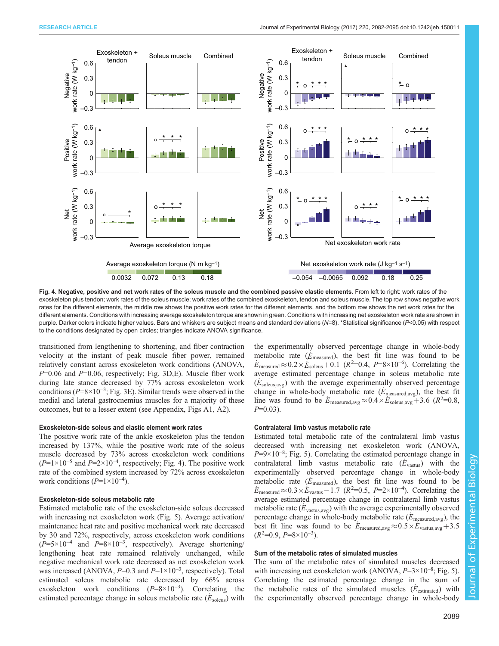<span id="page-7-0"></span>

Fig. 4. Negative, positive and net work rates of the soleus muscle and the combined passive elastic elements. From left to right: work rates of the exoskeleton plus tendon; work rates of the soleus muscle; work rates of the combined exoskeleton, tendon and soleus muscle. The top row shows negative work rates for the different elements, the middle row shows the positive work rates for the different elements, and the bottom row shows the net work rates for the different elements. Conditions with increasing average exoskeleton torque are shown in green. Conditions with increasing net exoskeleton work rate are shown in purple. Darker colors indicate higher values. Bars and whiskers are subject means and standard deviations ( $N=8$ ). \*Statistical significance ( $P<0.05$ ) with respect to the conditions designated by open circles; triangles indicate ANOVA significance.

transitioned from lengthening to shortening, and fiber contraction velocity at the instant of peak muscle fiber power, remained relatively constant across exoskeleton work conditions (ANOVA,  $P=0.06$  and  $P=0.06$ , respectively; [Fig. 3](#page-6-0)D, E). Muscle fiber work during late stance decreased by 77% across exoskeleton work conditions ( $P=8\times10^{-3}$ ; [Fig. 3](#page-6-0)E). Similar trends were observed in the medial and lateral gastrocnemius muscles for a majority of these outcomes, but to a lesser extent (see Appendix, [Figs A1](#page-10-0), [A2\)](#page-11-0).

#### Exoskeleton-side soleus and elastic element work rates

The positive work rate of the ankle exoskeleton plus the tendon increased by 137%, while the positive work rate of the soleus muscle decreased by 73% across exoskeleton work conditions  $(P=1\times10^{-5}$  and  $P=2\times10^{-4}$ , respectively; Fig. 4). The positive work rate of the combined system increased by 72% across exoskeleton work conditions  $(P=1\times10^{-4})$ .

#### Exoskeleton-side soleus metabolic rate

Estimated metabolic rate of the exoskeleton-side soleus decreased with increasing net exoskeleton work [\(Fig. 5\)](#page-8-0). Average activation/ maintenance heat rate and positive mechanical work rate decreased by 30 and 72%, respectively, across exoskeleton work conditions  $(P=5\times10^{-4}$  and  $P=8\times10^{-3}$ , respectively). Average shortening/ lengthening heat rate remained relatively unchanged, while negative mechanical work rate decreased as net exoskeleton work was increased (ANOVA,  $P=0.3$  and  $P=1\times10^{-3}$ , respectively). Total estimated soleus metabolic rate decreased by 66% across exoskeleton work conditions  $(P=8\times10^{-3})$ . Correlating the estimated percentage change in soleus metabolic rate  $(E_{\text{soleus}})$  with the experimentally observed percentage change in whole-body metabolic rate  $(\dot{E}_{\text{measured}})$ , the best fit line was found to be  $\dot{E}_{\text{measured}} \approx 0.2 \times \dot{E}_{\text{soleus}} + 0.1$  ( $R^2 = 0.4$ ,  $P = 8 \times 10^{-6}$ ). Correlating the average estimated percentage change in soleus metabolic rate  $(E_{\text{soleus,avg}})$  with the average experimentally observed percentage change in whole-body metabolic rate  $(E_{\text{measured,avg}})$ , the best fit line was found to be  $E_{\text{measured,avg}} \approx 0.4 \times E_{\text{soleus,avg}} + 3.6 \ (R^2 = 0.8,$  $P=0.03$ ).

#### Contralateral limb vastus metabolic rate

Estimated total metabolic rate of the contralateral limb vastus decreased with increasing net exoskeleton work (ANOVA,  $P=9\times10^{-8}$ ; [Fig. 5\)](#page-8-0). Correlating the estimated percentage change in contralateral limb vastus metabolic rate  $(E_{\text{vastus}})$  with the experimentally observed percentage change in whole-body metabolic rate  $(E_{\text{measured}})$ , the best fit line was found to be  $E_{\text{measured}} \approx 0.3 \times E_{\text{vastus}} - 1.7$  ( $R^2 = 0.5$ ,  $P = 2 \times 10^{-4}$ ). Correlating the average estimated percentage change in contralateral limb vastus metabolic rate  $(E_{\text{vastus,avg}})$  with the average experimentally observed percentage change in whole-body metabolic rate ( $\dot{E}_{\text{measured,avg}}$ ), the best fit line was found to be  $E_{\text{measured,avg}} \approx 0.5 \times E_{\text{vastus,avg}} + 3.5$  $(R^2=0.9, P=8\times10^{-3}).$ 

## Sum of the metabolic rates of simulated muscles

The sum of the metabolic rates of simulated muscles decreased with increasing net exoskeleton work (ANOVA,  $P=3\times10^{-8}$ ; [Fig. 5\)](#page-8-0). Correlating the estimated percentage change in the sum of the metabolic rates of the simulated muscles  $(E_{\text{estimated}})$  with the experimentally observed percentage change in whole-body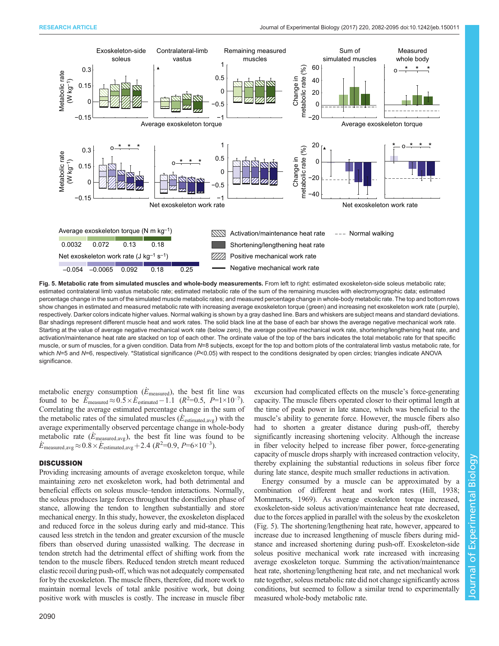<span id="page-8-0"></span>

Fig. 5. Metabolic rate from simulated muscles and whole-body measurements. From left to right: estimated exoskeleton-side soleus metabolic rate; estimated contralateral limb vastus metabolic rate; estimated metabolic rate of the sum of the remaining muscles with electromyographic data; estimated percentage change in the sum of the simulated muscle metabolic rates; and measured percentage change in whole-body metabolic rate. The top and bottom rows show changes in estimated and measured metabolic rate with increasing average exoskeleton torque (green) and increasing net exoskeleton work rate (purple), respectively. Darker colors indicate higher values. Normal walking is shown by a gray dashed line. Bars and whiskers are subject means and standard deviations. Bar shadings represent different muscle heat and work rates. The solid black line at the base of each bar shows the average negative mechanical work rate. Starting at the value of average negative mechanical work rate (below zero), the average positive mechanical work rate, shortening/lengthening heat rate, and activation/maintenance heat rate are stacked on top of each other. The ordinate value of the top of the bars indicates the total metabolic rate for that specific muscle, or sum of muscles, for a given condition. Data from N=8 subjects, except for the top and bottom plots of the contralateral limb vastus metabolic rate, for which N=5 and N=6, respectively. \*Statistical significance (P<0.05) with respect to the conditions designated by open circles; triangles indicate ANOVA significance.

metabolic energy consumption ( $E_{\text{measured}}$ ), the best fit line was found to be  $E_{\text{measured}} \approx 0.5 \times E_{\text{estimated}} - 1.1$   $(R^2=0.5, P=1\times10^{-7})$ . Correlating the average estimated percentage change in the sum of the metabolic rates of the simulated muscles ( $E_{\text{estimated,avg}}$ ) with the average experimentally observed percentage change in whole-body metabolic rate ( $E_{\text{measured,avg}}$ ), the best fit line was found to be  $\dot{E}_{\text{measured,avg}} \approx 0.8 \times \dot{E}_{\text{estimated,avg}} + 2.4 \ (R^2=0.9, P=6\times10^{-3}).$ 

## **DISCUSSION**

Providing increasing amounts of average exoskeleton torque, while maintaining zero net exoskeleton work, had both detrimental and beneficial effects on soleus muscle–tendon interactions. Normally, the soleus produces large forces throughout the dorsiflexion phase of stance, allowing the tendon to lengthen substantially and store mechanical energy. In this study, however, the exoskeleton displaced and reduced force in the soleus during early and mid-stance. This caused less stretch in the tendon and greater excursion of the muscle fibers than observed during unassisted walking. The decrease in tendon stretch had the detrimental effect of shifting work from the tendon to the muscle fibers. Reduced tendon stretch meant reduced elastic recoil during push-off, which was not adequately compensated for by the exoskeleton. The muscle fibers, therefore, did more work to maintain normal levels of total ankle positive work, but doing positive work with muscles is costly. The increase in muscle fiber

excursion had complicated effects on the muscle's force-generating capacity. The muscle fibers operated closer to their optimal length at the time of peak power in late stance, which was beneficial to the muscle's ability to generate force. However, the muscle fibers also had to shorten a greater distance during push-off, thereby significantly increasing shortening velocity. Although the increase in fiber velocity helped to increase fiber power, force-generating capacity of muscle drops sharply with increased contraction velocity, thereby explaining the substantial reductions in soleus fiber force during late stance, despite much smaller reductions in activation.

Energy consumed by a muscle can be approximated by a combination of different heat and work rates ([Hill, 1938](#page-13-0); [Mommaerts, 1969](#page-13-0)). As average exoskeleton torque increased, exoskeleton-side soleus activation/maintenance heat rate decreased, due to the forces applied in parallel with the soleus by the exoskeleton (Fig. 5). The shortening/lengthening heat rate, however, appeared to increase due to increased lengthening of muscle fibers during midstance and increased shortening during push-off. Exoskeleton-side soleus positive mechanical work rate increased with increasing average exoskeleton torque. Summing the activation/maintenance heat rate, shortening/lengthening heat rate, and net mechanical work rate together, soleus metabolic rate did not change significantly across conditions, but seemed to follow a similar trend to experimentally measured whole-body metabolic rate.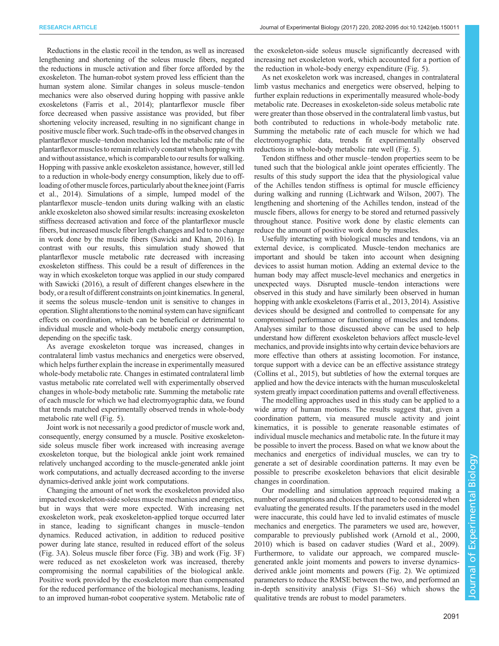Reductions in the elastic recoil in the tendon, as well as increased lengthening and shortening of the soleus muscle fibers, negated the reductions in muscle activation and fiber force afforded by the exoskeleton. The human-robot system proved less efficient than the human system alone. Similar changes in soleus muscle–tendon mechanics were also observed during hopping with passive ankle exoskeletons [\(Farris et al., 2014](#page-13-0)); plantarflexor muscle fiber force decreased when passive assistance was provided, but fiber shortening velocity increased, resulting in no significant change in positive muscle fiber work. Such trade-offs in the observed changes in plantarflexor muscle–tendon mechanics led the metabolic rate of the plantarflexor musclesto remain relatively constant when hopping with and without assistance, which is comparable to our results for walking. Hopping with passive ankle exoskeleton assistance, however, still led to a reduction in whole-body energy consumption, likely due to offloading of other muscle forces, particularly about the knee joint ([Farris](#page-13-0) [et al., 2014\)](#page-13-0). Simulations of a simple, lumped model of the plantarflexor muscle–tendon units during walking with an elastic ankle exoskeleton also showed similar results: increasing exoskeleton stiffness decreased activation and force of the plantarflexor muscle fibers, but increased muscle fiber length changes and led to no change in work done by the muscle fibers [\(Sawicki and Khan, 2016](#page-13-0)). In contrast with our results, this simulation study showed that plantarflexor muscle metabolic rate decreased with increasing exoskeleton stiffness. This could be a result of differences in the way in which exoskeleton torque was applied in our study compared with Sawicki (2016), a result of different changes elsewhere in the body, or a result of different constraints on joint kinematics. In general, it seems the soleus muscle–tendon unit is sensitive to changes in operation. Slight alterationsto the nominal system can have significant effects on coordination, which can be beneficial or detrimental to individual muscle and whole-body metabolic energy consumption, depending on the specific task.

As average exoskeleton torque was increased, changes in contralateral limb vastus mechanics and energetics were observed, which helps further explain the increase in experimentally measured whole-body metabolic rate. Changes in estimated contralateral limb vastus metabolic rate correlated well with experimentally observed changes in whole-body metabolic rate. Summing the metabolic rate of each muscle for which we had electromyographic data, we found that trends matched experimentally observed trends in whole-body metabolic rate well [\(Fig. 5\)](#page-8-0).

Joint work is not necessarily a good predictor of muscle work and, consequently, energy consumed by a muscle. Positive exoskeletonside soleus muscle fiber work increased with increasing average exoskeleton torque, but the biological ankle joint work remained relatively unchanged according to the muscle-generated ankle joint work computations, and actually decreased according to the inverse dynamics-derived ankle joint work computations.

Changing the amount of net work the exoskeleton provided also impacted exoskeleton-side soleus muscle mechanics and energetics, but in ways that were more expected. With increasing net exoskeleton work, peak exoskeleton-applied torque occurred later in stance, leading to significant changes in muscle–tendon dynamics. Reduced activation, in addition to reduced positive power during late stance, resulted in reduced effort of the soleus [\(Fig. 3A](#page-6-0)). Soleus muscle fiber force [\(Fig. 3B](#page-6-0)) and work [\(Fig. 3F](#page-6-0)) were reduced as net exoskeleton work was increased, thereby compromising the normal capabilities of the biological ankle. Positive work provided by the exoskeleton more than compensated for the reduced performance of the biological mechanisms, leading to an improved human-robot cooperative system. Metabolic rate of the exoskeleton-side soleus muscle significantly decreased with increasing net exoskeleton work, which accounted for a portion of the reduction in whole-body energy expenditure ([Fig. 5](#page-8-0)).

As net exoskeleton work was increased, changes in contralateral limb vastus mechanics and energetics were observed, helping to further explain reductions in experimentally measured whole-body metabolic rate. Decreases in exoskeleton-side soleus metabolic rate were greater than those observed in the contralateral limb vastus, but both contributed to reductions in whole-body metabolic rate. Summing the metabolic rate of each muscle for which we had electromyographic data, trends fit experimentally observed reductions in whole-body metabolic rate well [\(Fig. 5](#page-8-0)).

Tendon stiffness and other muscle–tendon properties seem to be tuned such that the biological ankle joint operates efficiently. The results of this study support the idea that the physiological value of the Achilles tendon stiffness is optimal for muscle efficiency during walking and running [\(Lichtwark and Wilson, 2007](#page-13-0)). The lengthening and shortening of the Achilles tendon, instead of the muscle fibers, allows for energy to be stored and returned passively throughout stance. Positive work done by elastic elements can reduce the amount of positive work done by muscles.

Usefully interacting with biological muscles and tendons, via an external device, is complicated. Muscle–tendon mechanics are important and should be taken into account when designing devices to assist human motion. Adding an external device to the human body may affect muscle-level mechanics and energetics in unexpected ways. Disrupted muscle–tendon interactions were observed in this study and have similarly been observed in human hopping with ankle exoskeletons [\(Farris et al., 2013](#page-13-0), [2014](#page-13-0)). Assistive devices should be designed and controlled to compensate for any compromised performance or functioning of muscles and tendons. Analyses similar to those discussed above can be used to help understand how different exoskeleton behaviors affect muscle-level mechanics, and provide insights into why certain device behaviors are more effective than others at assisting locomotion. For instance, torque support with a device can be an effective assistance strategy [\(Collins et al., 2015\)](#page-13-0), but subtleties of how the external torques are applied and how the device interacts with the human musculoskeletal system greatly impact coordination patterns and overall effectiveness.

The modelling approaches used in this study can be applied to a wide array of human motions. The results suggest that, given a coordination pattern, via measured muscle activity and joint kinematics, it is possible to generate reasonable estimates of individual muscle mechanics and metabolic rate. In the future it may be possible to invert the process. Based on what we know about the mechanics and energetics of individual muscles, we can try to generate a set of desirable coordination patterns. It may even be possible to prescribe exoskeleton behaviors that elicit desirable changes in coordination.

Our modelling and simulation approach required making a number of assumptions and choices that need to be considered when evaluating the generated results. If the parameters used in the model were inaccurate, this could have led to invalid estimates of muscle mechanics and energetics. The parameters we used are, however, comparable to previously published work [\(Arnold et al., 2000,](#page-12-0) [2010\)](#page-12-0) which is based on cadaver studies [\(Ward et al., 2009\)](#page-13-0). Furthermore, to validate our approach, we compared musclegenerated ankle joint moments and powers to inverse dynamicsderived ankle joint moments and powers ([Fig. 2\)](#page-4-0). We optimized parameters to reduce the RMSE between the two, and performed an in-depth sensitivity analysis [\(Figs S1](http://jeb.biologists.org/lookup/doi/10.1242/jeb.150011.supplemental)–S6) which shows the qualitative trends are robust to model parameters.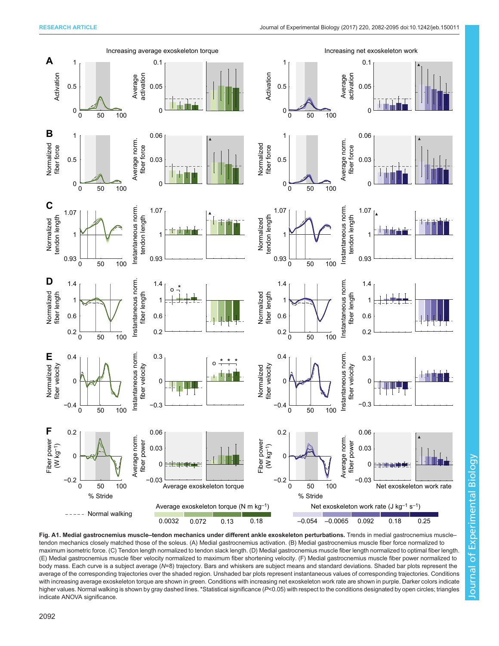<span id="page-10-0"></span>

Fig. A1. Medial gastrocnemius muscle–tendon mechanics under different ankle exoskeleton perturbations. Trends in medial gastrocnemius muscle– tendon mechanics closely matched those of the soleus. (A) Medial gastrocnemius activation. (B) Medial gastrocnemius muscle fiber force normalized to maximum isometric force. (C) Tendon length normalized to tendon slack length. (D) Medial gastrocnemius muscle fiber length normalized to optimal fiber length. (E) Medial gastrocnemius muscle fiber velocity normalized to maximum fiber shortening velocity. (F) Medial gastrocnemius muscle fiber power normalized to body mass. Each curve is a subject average (N=8) trajectory. Bars and whiskers are subject means and standard deviations. Shaded bar plots represent the average of the corresponding trajectories over the shaded region. Unshaded bar plots represent instantaneous values of corresponding trajectories. Conditions with increasing average exoskeleton torque are shown in green. Conditions with increasing net exoskeleton work rate are shown in purple. Darker colors indicate higher values. Normal walking is shown by gray dashed lines. \*Statistical significance (P<0.05) with respect to the conditions designated by open circles; triangles indicate ANOVA significance.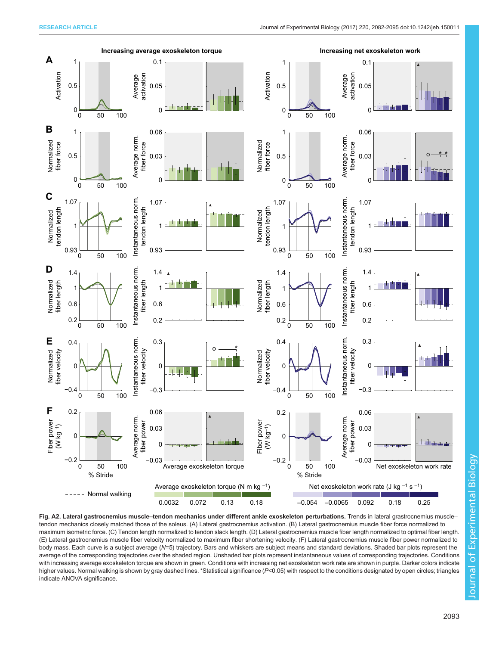<span id="page-11-0"></span>

Fig. A2. Lateral gastrocnemius muscle-tendon mechanics under different ankle exoskeleton perturbations. Trends in lateral grastrocnemius muscletendon mechanics closely matched those of the soleus. (A) Lateral gastrocnemius activation. (B) Lateral gastrocnemius muscle fiber force normalized to maximum isometric force. (C) Tendon length normalized to tendon slack length. (D) Lateral gastrocnemius muscle fiber length normalized to optimal fiber length. (E) Lateral gastrocnemius muscle fiber velocity normalized to maximum fiber shortening velocity. (F) Lateral gastrocnemius muscle fiber power normalized to body mass. Each curve is a subject average (N=5) trajectory. Bars and whiskers are subject means and standard deviations. Shaded bar plots represent the average of the corresponding trajectories over the shaded region. Unshaded bar plots represent instantaneous values of corresponding trajectories. Conditions with increasing average exoskeleton torque are shown in green. Conditions with increasing net exoskeleton work rate are shown in purple. Darker colors indicate higher values. Normal walking is shown by gray dashed lines. \*Statistical significance (P<0.05) with respect to the conditions designated by open circles; triangles indicate ANOVA significance.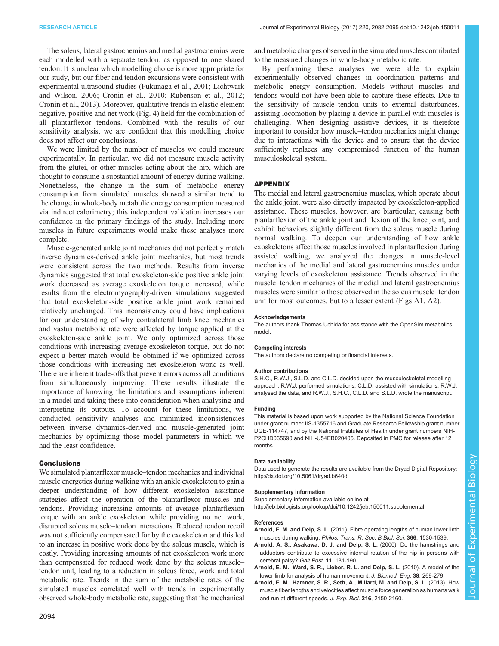<span id="page-12-0"></span>The soleus, lateral gastrocnemius and medial gastrocnemius were each modelled with a separate tendon, as opposed to one shared tendon. It is unclear which modelling choice is more appropriate for our study, but our fiber and tendon excursions were consistent with experimental ultrasound studies ([Fukunaga et al., 2001](#page-13-0); Lichtwark and Wilson, 2006; Cronin et al., 2010; [Rubenson et al., 2012](#page-13-0); Cronin et al., 2013). Moreover, qualitative trends in elastic element negative, positive and net work [\(Fig. 4](#page-7-0)) held for the combination of all plantarflexor tendons. Combined with the results of our sensitivity analysis, we are confident that this modelling choice does not affect our conclusions.

We were limited by the number of muscles we could measure experimentally. In particular, we did not measure muscle activity from the glutei, or other muscles acting about the hip, which are thought to consume a substantial amount of energy during walking. Nonetheless, the change in the sum of metabolic energy consumption from simulated muscles showed a similar trend to the change in whole-body metabolic energy consumption measured via indirect calorimetry; this independent validation increases our confidence in the primary findings of the study. Including more muscles in future experiments would make these analyses more complete.

Muscle-generated ankle joint mechanics did not perfectly match inverse dynamics-derived ankle joint mechanics, but most trends were consistent across the two methods. Results from inverse dynamics suggested that total exoskeleton-side positive ankle joint work decreased as average exoskeleton torque increased, while results from the electromyography-driven simulations suggested that total exoskeleton-side positive ankle joint work remained relatively unchanged. This inconsistency could have implications for our understanding of why contralateral limb knee mechanics and vastus metabolic rate were affected by torque applied at the exoskeleton-side ankle joint. We only optimized across those conditions with increasing average exoskeleton torque, but do not expect a better match would be obtained if we optimized across those conditions with increasing net exoskeleton work as well. There are inherent trade-offs that prevent errors across all conditions from simultaneously improving. These results illustrate the importance of knowing the limitations and assumptions inherent in a model and taking these into consideration when analysing and interpreting its outputs. To account for these limitations, we conducted sensitivity analyses and minimized inconsistencies between inverse dynamics-derived and muscle-generated joint mechanics by optimizing those model parameters in which we had the least confidence.

#### **Conclusions**

We simulated plantarflexor muscle–tendon mechanics and individual muscle energetics during walking with an ankle exoskeleton to gain a deeper understanding of how different exoskeleton assistance strategies affect the operation of the plantarflexor muscles and tendons. Providing increasing amounts of average plantarflexion torque with an ankle exoskeleton while providing no net work, disrupted soleus muscle–tendon interactions. Reduced tendon recoil was not sufficiently compensated for by the exoskeleton and this led to an increase in positive work done by the soleus muscle, which is costly. Providing increasing amounts of net exoskeleton work more than compensated for reduced work done by the soleus muscle– tendon unit, leading to a reduction in soleus force, work and total metabolic rate. Trends in the sum of the metabolic rates of the simulated muscles correlated well with trends in experimentally observed whole-body metabolic rate, suggesting that the mechanical

and metabolic changes observed in the simulated muscles contributed to the measured changes in whole-body metabolic rate.

By performing these analyses we were able to explain experimentally observed changes in coordination patterns and metabolic energy consumption. Models without muscles and tendons would not have been able to capture these effects. Due to the sensitivity of muscle–tendon units to external disturbances, assisting locomotion by placing a device in parallel with muscles is challenging. When designing assistive devices, it is therefore important to consider how muscle–tendon mechanics might change due to interactions with the device and to ensure that the device sufficiently replaces any compromised function of the human musculoskeletal system.

## APPENDIX

The medial and lateral gastrocnemius muscles, which operate about the ankle joint, were also directly impacted by exoskeleton-applied assistance. These muscles, however, are biarticular, causing both plantarflexion of the ankle joint and flexion of the knee joint, and exhibit behaviors slightly different from the soleus muscle during normal walking. To deepen our understanding of how ankle exoskeletons affect those muscles involved in plantarflexion during assisted walking, we analyzed the changes in muscle-level mechanics of the medial and lateral gastrocnemius muscles under varying levels of exoskeleton assistance. Trends observed in the muscle–tendon mechanics of the medial and lateral gastrocnemius muscles were similar to those observed in the soleus muscle–tendon unit for most outcomes, but to a lesser extent [\(Figs A1,](#page-10-0) [A2](#page-11-0)).

#### **Acknowledgements**

The authors thank Thomas Uchida for assistance with the OpenSim metabolics model.

#### Competing interests

The authors declare no competing or financial interests.

#### Author contributions

S.H.C., R.W.J., S.L.D. and C.L.D. decided upon the musculoskeletal modelling approach, R.W.J. performed simulations, C.L.D. assisted with simulations, R.W.J. analysed the data, and R.W.J., S.H.C., C.L.D. and S.L.D. wrote the manuscript.

#### Funding

This material is based upon work supported by the National Science Foundation under grant number IIS-1355716 and Graduate Research Fellowship grant number DGE-114747, and by the National Institutes of Health under grant numbers NIH-P2CHD065690 and NIH-U54EB020405. Deposited in PMC for release after 12 months.

#### Data availability

Data used to generate the results are available from the Dryad Digital Repository: <http://dx.doi.org/10.5061/dryad.b640d>

#### Supplementary information

Supplementary information available online at <http://jeb.biologists.org/lookup/doi/10.1242/jeb.150011.supplemental>

#### References

- Arnold, E. M. and Delp, S. L. [\(2011\). Fibre operating lengths of human lower limb](http://dx.doi.org/10.1098/rstb.2010.0345) muscles during walking. [Philos. Trans. R. Soc. B Biol. Sci.](http://dx.doi.org/10.1098/rstb.2010.0345) 366, 1530-1539.
- [Arnold, A. S., Asakawa, D. J. and Delp, S. L.](http://dx.doi.org/10.1016/S0966-6362(00)00046-1) (2000). Do the hamstrings and [adductors contribute to excessive internal rotation of the hip in persons with](http://dx.doi.org/10.1016/S0966-6362(00)00046-1) [cerebral palsy?](http://dx.doi.org/10.1016/S0966-6362(00)00046-1) Gait Post. 11, 181-190.
- [Arnold, E. M., Ward, S. R., Lieber, R. L. and Delp, S. L.](http://dx.doi.org/10.1007/s10439-009-9852-5) (2010). A model of the [lower limb for analysis of human movement.](http://dx.doi.org/10.1007/s10439-009-9852-5) J. Biomed. Eng. 38, 269-279.
- [Arnold, E. M., Hamner, S. R., Seth, A., Millard, M. and Delp, S. L.](http://dx.doi.org/10.1242/jeb.075697) (2013). How [muscle fiber lengths and velocities affect muscle force generation as humans walk](http://dx.doi.org/10.1242/jeb.075697) [and run at different speeds.](http://dx.doi.org/10.1242/jeb.075697) J. Exp. Biol. 216, 2150-2160.